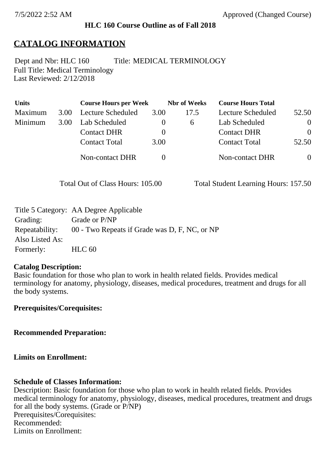#### **HLC 160 Course Outline as of Fall 2018**

## **CATALOG INFORMATION**

Full Title: Medical Terminology Last Reviewed: 2/12/2018 Dept and Nbr: HLC 160 Title: MEDICAL TERMINOLOGY

| <b>Units</b> |      | <b>Course Hours per Week</b> |      | <b>Nbr</b> of Weeks | <b>Course Hours Total</b> |                |
|--------------|------|------------------------------|------|---------------------|---------------------------|----------------|
| Maximum      | 3.00 | Lecture Scheduled            | 3.00 | 17.5                | Lecture Scheduled         | 52.50          |
| Minimum      | 3.00 | Lab Scheduled                |      | $\sigma$            | Lab Scheduled             | $\overline{0}$ |
|              |      | <b>Contact DHR</b>           |      |                     | <b>Contact DHR</b>        | $\Omega$       |
|              |      | <b>Contact Total</b>         | 3.00 |                     | <b>Contact Total</b>      | 52.50          |
|              |      | Non-contact DHR              |      |                     | <b>Non-contact DHR</b>    | $\overline{0}$ |

Total Out of Class Hours: 105.00 Total Student Learning Hours: 157.50

|                 | Title 5 Category: AA Degree Applicable                       |
|-----------------|--------------------------------------------------------------|
| Grading:        | Grade or P/NP                                                |
|                 | Repeatability: 00 - Two Repeats if Grade was D, F, NC, or NP |
| Also Listed As: |                                                              |
| Formerly:       | HLC <sub>60</sub>                                            |

#### **Catalog Description:**

Basic foundation for those who plan to work in health related fields. Provides medical terminology for anatomy, physiology, diseases, medical procedures, treatment and drugs for all the body systems.

**Prerequisites/Corequisites:**

**Recommended Preparation:**

**Limits on Enrollment:**

#### **Schedule of Classes Information:**

Description: Basic foundation for those who plan to work in health related fields. Provides medical terminology for anatomy, physiology, diseases, medical procedures, treatment and drugs for all the body systems. (Grade or P/NP) Prerequisites/Corequisites: Recommended: Limits on Enrollment: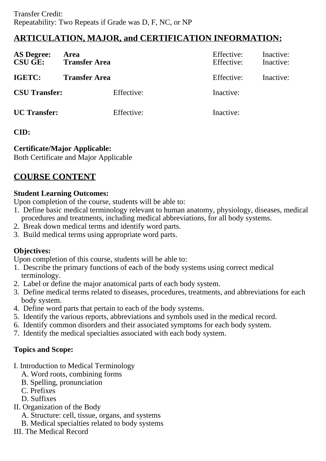# **ARTICULATION, MAJOR, and CERTIFICATION INFORMATION:**

| <b>AS Degree:</b><br><b>CSU GE:</b> | Area<br><b>Transfer Area</b> | Effective:<br>Effective: | Inactive:<br>Inactive: |
|-------------------------------------|------------------------------|--------------------------|------------------------|
| IGETC:                              | <b>Transfer Area</b>         | Effective:               | Inactive:              |
| <b>CSU Transfer:</b>                | Effective:                   | Inactive:                |                        |
| <b>UC</b> Transfer:                 | Effective:                   | Inactive:                |                        |

### **CID:**

### **Certificate/Major Applicable:**

[Both Certificate and Major Applicable](SR_ClassCheck.aspx?CourseKey=HLC160)

# **COURSE CONTENT**

### **Student Learning Outcomes:**

Upon completion of the course, students will be able to:

- 1. Define basic medical terminology relevant to human anatomy, physiology, diseases, medical procedures and treatments, including medical abbreviations, for all body systems.
- 2. Break down medical terms and identify word parts.
- 3. Build medical terms using appropriate word parts.

### **Objectives:**

Upon completion of this course, students will be able to:

- 1. Describe the primary functions of each of the body systems using correct medical terminology.
- 2. Label or define the major anatomical parts of each body system.
- 3. Define medical terms related to diseases, procedures, treatments, and abbreviations for each body system.
- 4. Define word parts that pertain to each of the body systems.
- 5. Identify the various reports, abbreviations and symbols used in the medical record.
- 6. Identify common disorders and their associated symptoms for each body system.
- 7. Identify the medical specialties associated with each body system.

### **Topics and Scope:**

- I. Introduction to Medical Terminology
	- A. Word roots, combining forms
	- B. Spelling, pronunciation
	- C. Prefixes
	- D. Suffixes
- II. Organization of the Body
	- A. Structure: cell, tissue, organs, and systems
	- B. Medical specialties related to body systems
- III. The Medical Record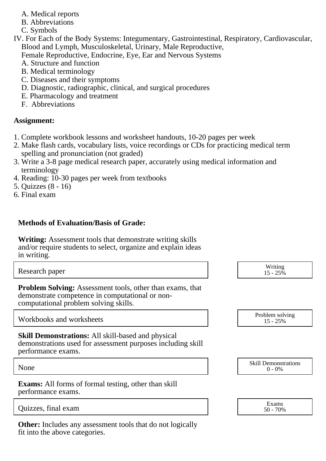- A. Medical reports
- B. Abbreviations
- C. Symbols
- IV. For Each of the Body Systems: Integumentary, Gastrointestinal, Respiratory, Cardiovascular, Blood and Lymph, Musculoskeletal, Urinary, Male Reproductive,
	- Female Reproductive, Endocrine, Eye, Ear and Nervous Systems
	- A. Structure and function
	- B. Medical terminology
	- C. Diseases and their symptoms
	- D. Diagnostic, radiographic, clinical, and surgical procedures
	- E. Pharmacology and treatment
	- F. Abbreviations

### **Assignment:**

- 1. Complete workbook lessons and worksheet handouts, 10-20 pages per week
- 2. Make flash cards, vocabulary lists, voice recordings or CDs for practicing medical term spelling and pronunciation (not graded)
- 3. Write a 3-8 page medical research paper, accurately using medical information and terminology
- 4. Reading: 10-30 pages per week from textbooks
- 5. Quizzes (8 16)
- 6. Final exam

## **Methods of Evaluation/Basis of Grade:**

**Writing:** Assessment tools that demonstrate writing skills and/or require students to select, organize and explain ideas in writing.

Research paper Writing and the United States of the United States of the United States of the United States of the United States of the United States of the United States of the United States of the United States of the Un  $15 - 25\%$ 

**Problem Solving:** Assessment tools, other than exams, that demonstrate competence in computational or noncomputational problem solving skills.

Workbooks and worksheets

**Skill Demonstrations:** All skill-based and physical demonstrations used for assessment purposes including skill performance exams.

**Exams:** All forms of formal testing, other than skill performance exams.

 $\overline{\text{Ouizzes.}}$  final exam  $\overline{\text{Sov}}$ 

**Other:** Includes any assessment tools that do not logically fit into the above categories.

| Problem solving |  |  |
|-----------------|--|--|
| $15 - 25\%$     |  |  |

None Skill Demonstrations<br>  $\begin{array}{c} \text{Skill,} \\ 0 \text{ - } 0\% \end{array}$  $0 - 0\%$